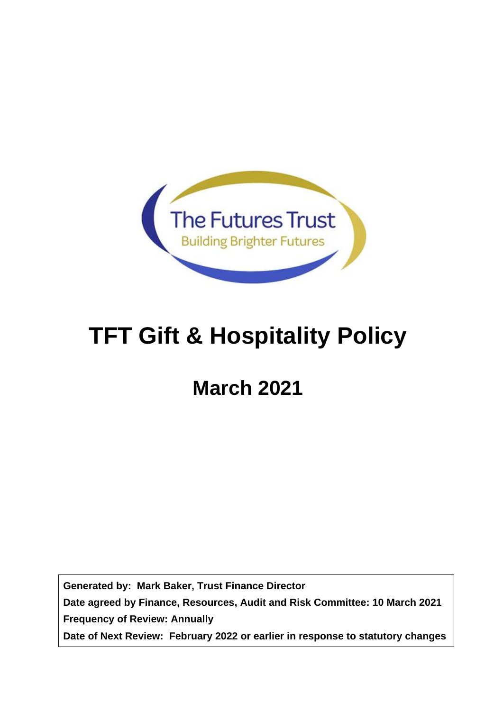

# **TFT Gift & Hospitality Policy**

# **March 2021**

**Generated by: Mark Baker, Trust Finance Director Date agreed by Finance, Resources, Audit and Risk Committee: 10 March 2021 Frequency of Review: Annually Date of Next Review: February 2022 or earlier in response to statutory changes**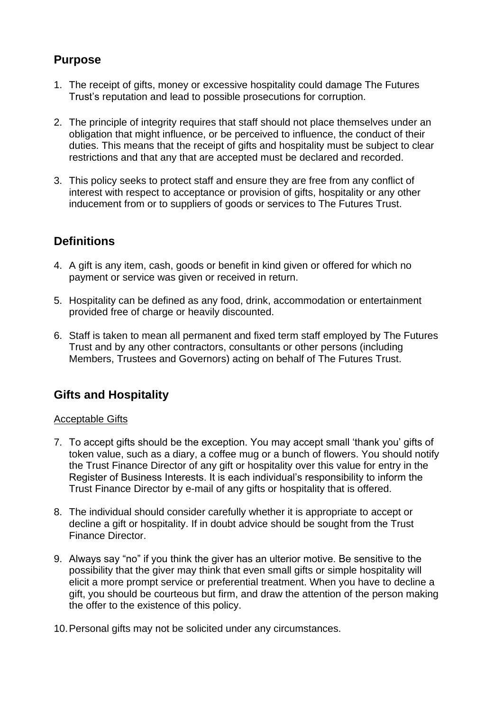## **Purpose**

- 1. The receipt of gifts, money or excessive hospitality could damage The Futures Trust's reputation and lead to possible prosecutions for corruption.
- 2. The principle of integrity requires that staff should not place themselves under an obligation that might influence, or be perceived to influence, the conduct of their duties. This means that the receipt of gifts and hospitality must be subject to clear restrictions and that any that are accepted must be declared and recorded.
- 3. This policy seeks to protect staff and ensure they are free from any conflict of interest with respect to acceptance or provision of gifts, hospitality or any other inducement from or to suppliers of goods or services to The Futures Trust.

## **Definitions**

- 4. A gift is any item, cash, goods or benefit in kind given or offered for which no payment or service was given or received in return.
- 5. Hospitality can be defined as any food, drink, accommodation or entertainment provided free of charge or heavily discounted.
- 6. Staff is taken to mean all permanent and fixed term staff employed by The Futures Trust and by any other contractors, consultants or other persons (including Members, Trustees and Governors) acting on behalf of The Futures Trust.

## **Gifts and Hospitality**

#### Acceptable Gifts

- 7. To accept gifts should be the exception. You may accept small 'thank you' gifts of token value, such as a diary, a coffee mug or a bunch of flowers. You should notify the Trust Finance Director of any gift or hospitality over this value for entry in the Register of Business Interests. It is each individual's responsibility to inform the Trust Finance Director by e-mail of any gifts or hospitality that is offered.
- 8. The individual should consider carefully whether it is appropriate to accept or decline a gift or hospitality. If in doubt advice should be sought from the Trust Finance Director.
- 9. Always say "no" if you think the giver has an ulterior motive. Be sensitive to the possibility that the giver may think that even small gifts or simple hospitality will elicit a more prompt service or preferential treatment. When you have to decline a gift, you should be courteous but firm, and draw the attention of the person making the offer to the existence of this policy.
- 10.Personal gifts may not be solicited under any circumstances.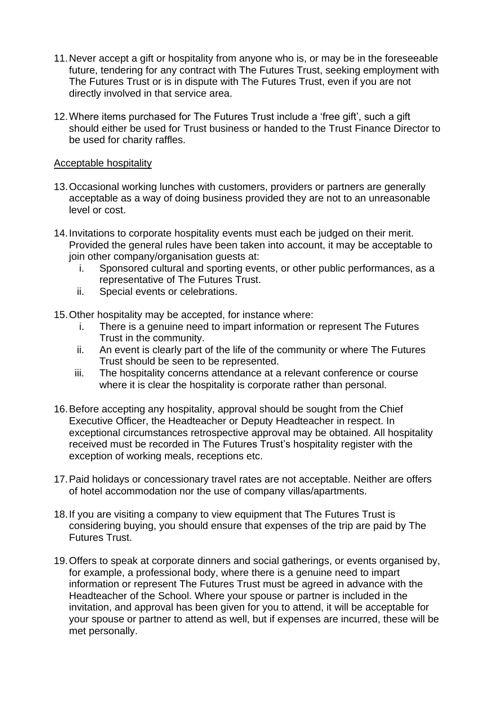- 11.Never accept a gift or hospitality from anyone who is, or may be in the foreseeable future, tendering for any contract with The Futures Trust, seeking employment with The Futures Trust or is in dispute with The Futures Trust, even if you are not directly involved in that service area.
- 12.Where items purchased for The Futures Trust include a 'free gift', such a gift should either be used for Trust business or handed to the Trust Finance Director to be used for charity raffles.

#### Acceptable hospitality

- 13.Occasional working lunches with customers, providers or partners are generally acceptable as a way of doing business provided they are not to an unreasonable level or cost.
- 14.Invitations to corporate hospitality events must each be judged on their merit. Provided the general rules have been taken into account, it may be acceptable to join other company/organisation guests at:
	- i. Sponsored cultural and sporting events, or other public performances, as a representative of The Futures Trust.
	- ii. Special events or celebrations.
- 15.Other hospitality may be accepted, for instance where:
	- i. There is a genuine need to impart information or represent The Futures Trust in the community.
	- ii. An event is clearly part of the life of the community or where The Futures Trust should be seen to be represented.
	- iii. The hospitality concerns attendance at a relevant conference or course where it is clear the hospitality is corporate rather than personal.
- 16.Before accepting any hospitality, approval should be sought from the Chief Executive Officer, the Headteacher or Deputy Headteacher in respect. In exceptional circumstances retrospective approval may be obtained. All hospitality received must be recorded in The Futures Trust's hospitality register with the exception of working meals, receptions etc.
- 17.Paid holidays or concessionary travel rates are not acceptable. Neither are offers of hotel accommodation nor the use of company villas/apartments.
- 18.If you are visiting a company to view equipment that The Futures Trust is considering buying, you should ensure that expenses of the trip are paid by The Futures Trust.
- 19.Offers to speak at corporate dinners and social gatherings, or events organised by, for example, a professional body, where there is a genuine need to impart information or represent The Futures Trust must be agreed in advance with the Headteacher of the School. Where your spouse or partner is included in the invitation, and approval has been given for you to attend, it will be acceptable for your spouse or partner to attend as well, but if expenses are incurred, these will be met personally.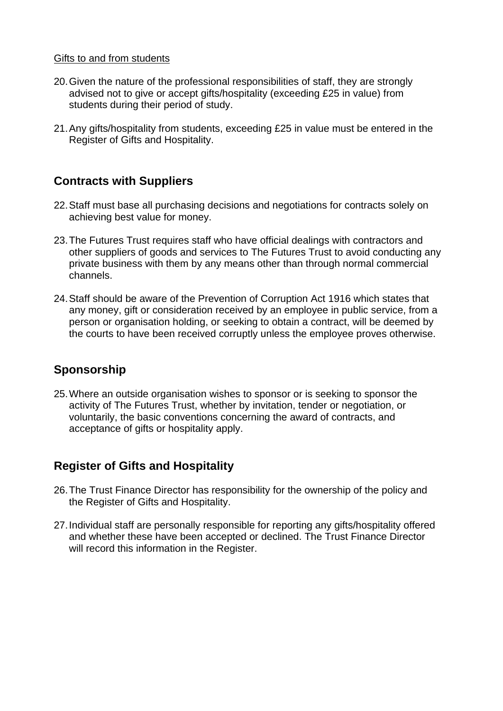#### Gifts to and from students

- 20.Given the nature of the professional responsibilities of staff, they are strongly advised not to give or accept gifts/hospitality (exceeding £25 in value) from students during their period of study.
- 21.Any gifts/hospitality from students, exceeding £25 in value must be entered in the Register of Gifts and Hospitality.

### **Contracts with Suppliers**

- 22.Staff must base all purchasing decisions and negotiations for contracts solely on achieving best value for money.
- 23.The Futures Trust requires staff who have official dealings with contractors and other suppliers of goods and services to The Futures Trust to avoid conducting any private business with them by any means other than through normal commercial channels.
- 24.Staff should be aware of the Prevention of Corruption Act 1916 which states that any money, gift or consideration received by an employee in public service, from a person or organisation holding, or seeking to obtain a contract, will be deemed by the courts to have been received corruptly unless the employee proves otherwise.

## **Sponsorship**

25.Where an outside organisation wishes to sponsor or is seeking to sponsor the activity of The Futures Trust, whether by invitation, tender or negotiation, or voluntarily, the basic conventions concerning the award of contracts, and acceptance of gifts or hospitality apply.

## **Register of Gifts and Hospitality**

- 26.The Trust Finance Director has responsibility for the ownership of the policy and the Register of Gifts and Hospitality.
- 27.Individual staff are personally responsible for reporting any gifts/hospitality offered and whether these have been accepted or declined. The Trust Finance Director will record this information in the Register.